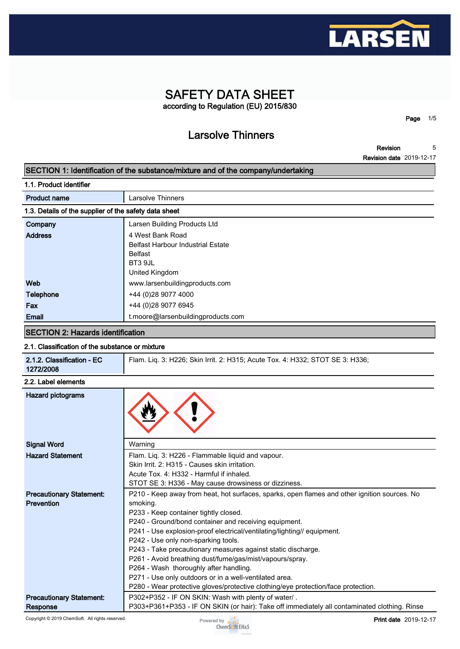

# **SAFETY DATA SHEET according to Regulation (EU) 2015/830**

**Larsolve Thinners**

**Revision 5**

**Page 1/5**

**Revision date 2019-12-17**

# **SECTION 1: Identification of the substance/mixture and of the company/undertaking**

| 1.1. Product identifier |
|-------------------------|
|-------------------------|

| <b>Product name</b>                                   | Larsolve Thinners                        |  |
|-------------------------------------------------------|------------------------------------------|--|
| 1.3. Details of the supplier of the safety data sheet |                                          |  |
| Company                                               | Larsen Building Products Ltd             |  |
| <b>Address</b>                                        | 4 West Bank Road                         |  |
|                                                       | <b>Belfast Harbour Industrial Estate</b> |  |
|                                                       | <b>Belfast</b>                           |  |
|                                                       | BT3 9JL                                  |  |
|                                                       | United Kingdom                           |  |
| Web                                                   | www.larsenbuildingproducts.com           |  |
| <b>Telephone</b>                                      | +44 (0)28 9077 4000                      |  |
| Fax                                                   | +44 (0)28 9077 6945                      |  |
| Email                                                 | t.moore@larsenbuildingproducts.com       |  |
|                                                       |                                          |  |

# **SECTION 2: Hazards identification**

## **2.1. Classification of the substance or mixture**

| 2.1.2. Classification - EC<br>1272/2008              | Flam. Lig. 3: H226; Skin Irrit. 2: H315; Acute Tox. 4: H332; STOT SE 3: H336;                                                                                                                                                                                                                                                                                                                                                                                                                                                                                                                                                                     |
|------------------------------------------------------|---------------------------------------------------------------------------------------------------------------------------------------------------------------------------------------------------------------------------------------------------------------------------------------------------------------------------------------------------------------------------------------------------------------------------------------------------------------------------------------------------------------------------------------------------------------------------------------------------------------------------------------------------|
| 2.2. Label elements                                  |                                                                                                                                                                                                                                                                                                                                                                                                                                                                                                                                                                                                                                                   |
| <b>Hazard pictograms</b>                             |                                                                                                                                                                                                                                                                                                                                                                                                                                                                                                                                                                                                                                                   |
| <b>Signal Word</b>                                   | Warning                                                                                                                                                                                                                                                                                                                                                                                                                                                                                                                                                                                                                                           |
| <b>Hazard Statement</b>                              | Flam. Liq. 3: H226 - Flammable liquid and vapour.<br>Skin Irrit. 2: H315 - Causes skin irritation.<br>Acute Tox, 4: H332 - Harmful if inhaled.<br>STOT SE 3: H336 - May cause drowsiness or dizziness.                                                                                                                                                                                                                                                                                                                                                                                                                                            |
| <b>Precautionary Statement:</b><br><b>Prevention</b> | P210 - Keep away from heat, hot surfaces, sparks, open flames and other ignition sources. No<br>smoking.<br>P233 - Keep container tightly closed.<br>P240 - Ground/bond container and receiving equipment.<br>P241 - Use explosion-proof electrical/ventilating/lighting// equipment.<br>P242 - Use only non-sparking tools.<br>P243 - Take precautionary measures against static discharge.<br>P261 - Avoid breathing dust/fume/gas/mist/vapours/spray.<br>P264 - Wash thoroughly after handling.<br>P271 - Use only outdoors or in a well-ventilated area.<br>P280 - Wear protective gloves/protective clothing/eye protection/face protection. |
| <b>Precautionary Statement:</b>                      | P302+P352 - IF ON SKIN: Wash with plenty of water/.                                                                                                                                                                                                                                                                                                                                                                                                                                                                                                                                                                                               |
| <b>Response</b>                                      | P303+P361+P353 - IF ON SKIN (or hair): Take off immediately all contaminated clothing. Rinse                                                                                                                                                                                                                                                                                                                                                                                                                                                                                                                                                      |

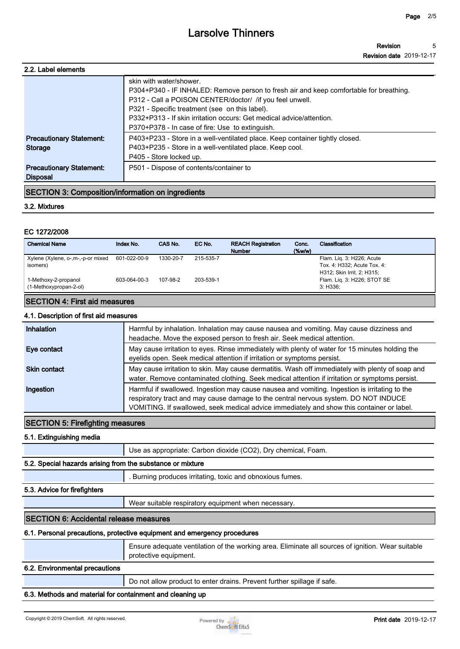**Revision date 2019-12-17 5**

**Revision**

| 2.2. Label elements             |                                                                                        |
|---------------------------------|----------------------------------------------------------------------------------------|
|                                 | skin with water/shower.                                                                |
|                                 | P304+P340 - IF INHALED: Remove person to fresh air and keep comfortable for breathing. |
|                                 | P312 - Call a POISON CENTER/doctor/ /if you feel unwell.                               |
|                                 | P321 - Specific treatment (see on this label).                                         |
|                                 | P332+P313 - If skin irritation occurs: Get medical advice/attention.                   |
|                                 | P370+P378 - In case of fire: Use to extinguish.                                        |
| <b>Precautionary Statement:</b> | P403+P233 - Store in a well-ventilated place. Keep container tightly closed.           |
| Storage                         | P403+P235 - Store in a well-ventilated place. Keep cool.                               |
|                                 | P405 - Store locked up.                                                                |
| <b>Precautionary Statement:</b> | P501 - Dispose of contents/container to                                                |
| <b>Disposal</b>                 |                                                                                        |

## **SECTION 3: Composition/information on ingredients**

#### **3.2. Mixtures**

#### **EC 1272/2008**

| <b>Chemical Name</b>                           | Index No.    | CAS No.   | EC No.    | <b>REACH Registration</b><br><b>Number</b> | Conc.<br>$($ %w/w $)$ | Classification                                                                         |
|------------------------------------------------|--------------|-----------|-----------|--------------------------------------------|-----------------------|----------------------------------------------------------------------------------------|
| Xylene (Xylene, o-,m-,-p-or mixed<br>isomers)  | 601-022-00-9 | 1330-20-7 | 215-535-7 |                                            |                       | Flam. Lig. 3: H226; Acute<br>Tox. 4: H332; Acute Tox. 4:<br>H312; Skin Irrit. 2: H315; |
| 1-Methoxy-2-propanol<br>(1-Methoxypropan-2-ol) | 603-064-00-3 | 107-98-2  | 203-539-1 |                                            |                       | Flam. Lig. 3: H226; STOT SE<br>3: H336:                                                |

# **SECTION 4: First aid measures**

## **4.1. Description of first aid measures**

| <b>Inhalation</b>   | Harmful by inhalation. Inhalation may cause nausea and vomiting. May cause dizziness and<br>headache. Move the exposed person to fresh air. Seek medical attention.                                                                                                               |
|---------------------|-----------------------------------------------------------------------------------------------------------------------------------------------------------------------------------------------------------------------------------------------------------------------------------|
| Eye contact         | May cause irritation to eyes. Rinse immediately with plenty of water for 15 minutes holding the<br>eyelids open. Seek medical attention if irritation or symptoms persist.                                                                                                        |
| <b>Skin contact</b> | May cause irritation to skin. May cause dermatitis. Wash off immediately with plenty of soap and<br>water. Remove contaminated clothing. Seek medical attention if irritation or symptoms persist.                                                                                |
| Ingestion           | Harmful if swallowed. Ingestion may cause nausea and vomiting. Ingestion is irritating to the<br>respiratory tract and may cause damage to the central nervous system. DO NOT INDUCE<br>VOMITING. If swallowed, seek medical advice immediately and show this container or label. |

## **SECTION 5: Firefighting measures**

#### **5.1. Extinguishing media**

**Use as appropriate: Carbon dioxide (CO2), Dry chemical, Foam.**

#### **5.2. Special hazards arising from the substance or mixture**

**. Burning produces irritating, toxic and obnoxious fumes.**

#### **5.3. Advice for firefighters**

**Wear suitable respiratory equipment when necessary.**

#### **SECTION 6: Accidental release measures**

#### **6.1. Personal precautions, protective equipment and emergency procedures**

**Ensure adequate ventilation of the working area. Eliminate all sources of ignition. Wear suitable protective equipment.**

#### **6.2. Environmental precautions**

**Do not allow product to enter drains. Prevent further spillage if safe.**

#### **6.3. Methods and material for containment and cleaning up**

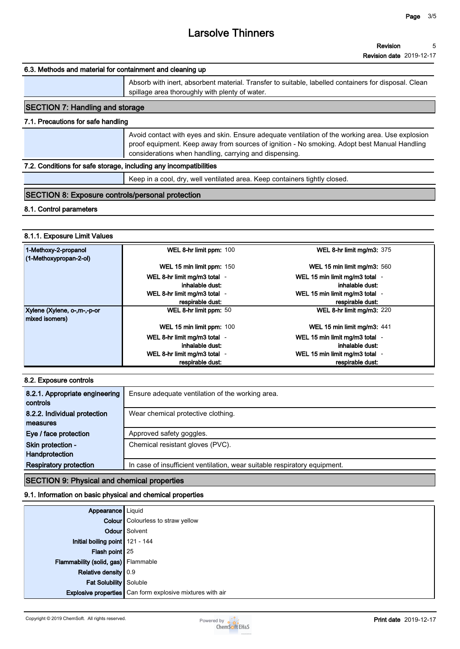#### **6.3. Methods and material for containment and cleaning up**

**Absorb with inert, absorbent material. Transfer to suitable, labelled containers for disposal. Clean spillage area thoroughly with plenty of water. SECTION 7: Handling and storage**

# **7.1. Precautions for safe handling**

| Avoid contact with eyes and skin. Ensure adequate ventilation of the working area. Use explosion<br>proof equipment. Keep away from sources of ignition - No smoking. Adopt best Manual Handling<br>considerations when handling, carrying and dispensing. |
|------------------------------------------------------------------------------------------------------------------------------------------------------------------------------------------------------------------------------------------------------------|
|------------------------------------------------------------------------------------------------------------------------------------------------------------------------------------------------------------------------------------------------------------|

#### **7.2. Conditions for safe storage, including any incompatibilities**

**Keep in a cool, dry, well ventilated area. Keep containers tightly closed.**

## **SECTION 8: Exposure controls/personal protection**

#### **8.1. Control parameters**

#### **8.1.1. Exposure Limit Values**

| 1-Methoxy-2-propanol<br>(1-Methoxypropan-2-ol) | WEL 8-hr limit ppm: 100                         | <b>WEL 8-hr limit mg/m3: 375</b>                  |
|------------------------------------------------|-------------------------------------------------|---------------------------------------------------|
|                                                | WEL 15 min limit ppm: 150                       | WEL 15 min limit mg/m3: 560                       |
|                                                | WEL 8-hr limit mg/m3 total -<br>inhalable dust: | WEL 15 min limit mg/m3 total -<br>inhalable dust: |
|                                                | WEL 8-hr limit mg/m3 total -                    | WEL 15 min limit mg/m3 total -                    |
|                                                | respirable dust:                                | respirable dust:                                  |
| Xylene (Xylene, o-,m-,-p-or<br>mixed isomers)  | WEL 8-hr limit ppm: 50                          | WEL 8-hr limit mg/m3: 220                         |
|                                                | WEL 15 min limit ppm: 100                       | WEL 15 min limit mg/m3: 441                       |
|                                                | WEL 8-hr limit mg/m3 total -                    | WEL 15 min limit mg/m3 total -                    |
|                                                | inhalable dust:                                 | inhalable dust:                                   |
|                                                | WEL 8-hr limit mg/m3 total -                    | WEL 15 min limit mg/m3 total -                    |
|                                                | respirable dust:                                | respirable dust:                                  |

#### **8.2. Exposure controls**

| 8.2.1. Appropriate engineering | Ensure adequate ventilation of the working area.                          |
|--------------------------------|---------------------------------------------------------------------------|
| controls                       |                                                                           |
| 8.2.2. Individual protection   | Wear chemical protective clothing.                                        |
| measures                       |                                                                           |
| Eye / face protection          | Approved safety goggles.                                                  |
| Skin protection -              | Chemical resistant gloves (PVC).                                          |
| Handprotection                 |                                                                           |
| <b>Respiratory protection</b>  | In case of insufficient ventilation, wear suitable respiratory equipment. |
|                                |                                                                           |

### **SECTION 9: Physical and chemical properties**

#### **9.1. Information on basic physical and chemical properties**

| <b>Appearance</b> Liquid            |                                                                  |
|-------------------------------------|------------------------------------------------------------------|
|                                     | <b>Colour</b> Colourless to straw yellow                         |
|                                     | <b>Odour</b> Solvent                                             |
| Initial boiling point 121 - 144     |                                                                  |
| Flash point $25$                    |                                                                  |
| Flammability (solid, gas) Flammable |                                                                  |
| Relative density 0.9                |                                                                  |
| Fat Solubility Soluble              |                                                                  |
|                                     | <b>Explosive properties</b> Can form explosive mixtures with air |

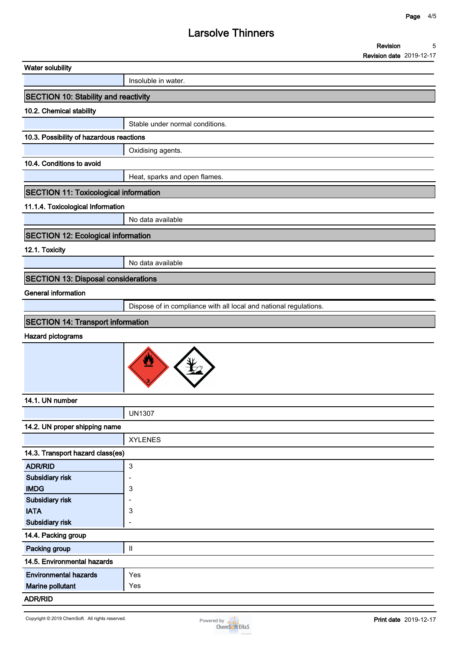**Revision Revision date 2019-12-17 5**

|                                              | $1\sqrt{2}$                                                       |
|----------------------------------------------|-------------------------------------------------------------------|
| <b>Water solubility</b>                      |                                                                   |
|                                              | Insoluble in water.                                               |
| <b>SECTION 10: Stability and reactivity</b>  |                                                                   |
| 10.2. Chemical stability                     |                                                                   |
|                                              | Stable under normal conditions.                                   |
| 10.3. Possibility of hazardous reactions     |                                                                   |
|                                              | Oxidising agents.                                                 |
| 10.4. Conditions to avoid                    |                                                                   |
|                                              | Heat, sparks and open flames.                                     |
| <b>SECTION 11: Toxicological information</b> |                                                                   |
| 11.1.4. Toxicological Information            |                                                                   |
|                                              | No data available                                                 |
| <b>SECTION 12: Ecological information</b>    |                                                                   |
| 12.1. Toxicity                               |                                                                   |
|                                              | No data available                                                 |
| <b>SECTION 13: Disposal considerations</b>   |                                                                   |
| <b>General information</b>                   |                                                                   |
|                                              | Dispose of in compliance with all local and national regulations. |
| <b>SECTION 14: Transport information</b>     |                                                                   |
| <b>Hazard pictograms</b>                     |                                                                   |
|                                              | 业                                                                 |
| 14.1. UN number                              |                                                                   |
|                                              | <b>UN1307</b>                                                     |
| 14.2. UN proper shipping name                |                                                                   |
|                                              | <b>XYLENES</b>                                                    |
| 14.3. Transport hazard class(es)             |                                                                   |
| <b>ADR/RID</b>                               | $\mathbf{3}$                                                      |
| Subsidiary risk                              | $\overline{\phantom{0}}$                                          |
| <b>IMDG</b>                                  | 3                                                                 |
| Subsidiary risk<br><b>IATA</b>               | 3                                                                 |
| Subsidiary risk                              |                                                                   |
| 14.4. Packing group                          |                                                                   |
| Packing group                                | $\sf H$                                                           |
| 14.5. Environmental hazards                  |                                                                   |
| <b>Environmental hazards</b>                 | Yes                                                               |
| Marine pollutant                             | Yes                                                               |
| <b>ADR/RID</b>                               |                                                                   |